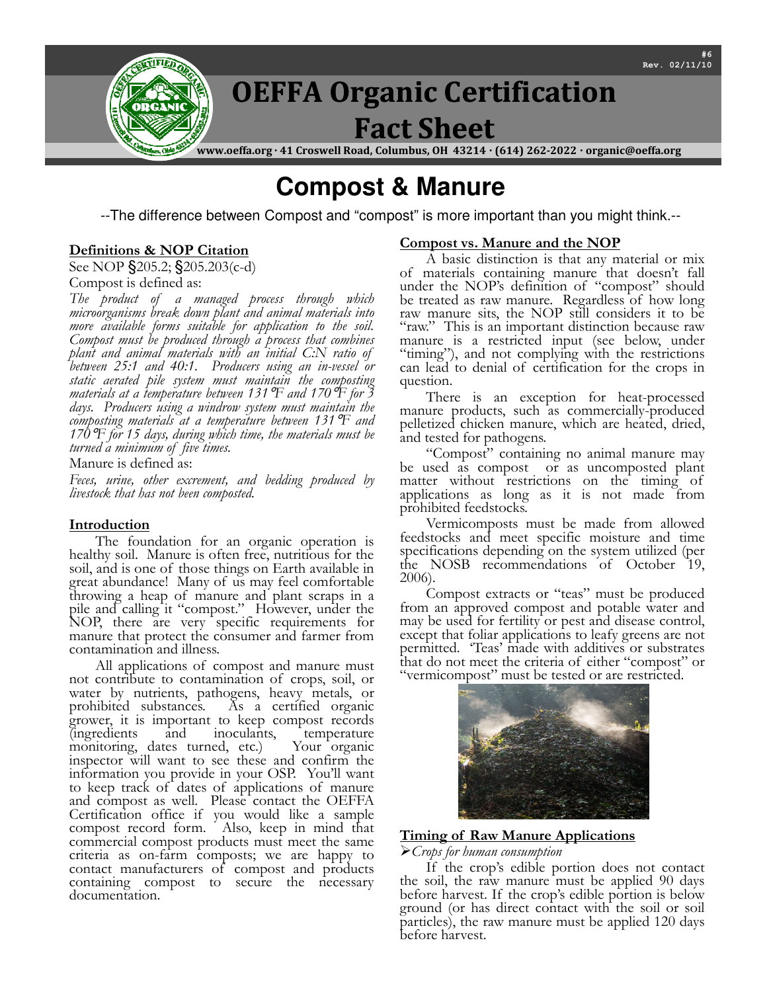

# **Compost & Manure**

--The difference between Compost and "compost" is more important than you might think.--

## Definitions & NOP Citation

See NOP §205.2; §205.203(c-d)

Compost is defined as:

The product of a managed process through which microorganisms break down plant and animal materials into more available forms suitable for application to the soil. Compost must be produced through a process that combines plant and animal materials with an initial C:N ratio of between 25:1 and 40:1. Producers using an in-vessel or static aerated pile system must maintain the composting materials at a temperature between 131  $\mathbb F$  and 170  $\mathbb F$  for 3 days. Producers using a windrow system must maintain the composting materials at a temperature between 131°F and 170  $\mathbb{F}$  for 15 days, during which time, the materials must be turned a minimum of five times.

Manure is defined as:

Feces, urine, other excrement, and bedding produced by livestock that has not been composted.

## Introduction

The foundation for an organic operation is healthy soil. Manure is often free, nutritious for the soil, and is one of those things on Earth available in great abundance! Many of us may feel comfortable throwing a heap of manure and plant scraps in a pile and calling it "compost." However, under the NOP, there are very specific requirements for manure that protect the consumer and farmer from contamination and illness.

All applications of compost and manure must not contribute to contamination of crops, soil, or water by nutrients, pathogens, heavy metals, or prohibited substances. As a certified organic As a certified organic grower, it is important to keep compost records (ingredients and inoculants, temperature monitoring, dates turned, etc.) Your organic inspector will want to see these and confirm the information you provide in your OSP. You'll want to keep track of dates of applications of manure and compost as well. Please contact the OEFFA Certification office if you would like a sample compost record form. Also, keep in mind that commercial compost products must meet the same criteria as on-farm composts; we are happy to contact manufacturers of compost and products containing compost to secure the necessary documentation.

## Compost vs. Manure and the NOP

A basic distinction is that any material or mix of materials containing manure that doesn't fall under the NOP's definition of "compost" should be treated as raw manure. Regardless of how long raw manure sits, the NOP still considers it to be "raw." This is an important distinction because raw manure is a restricted input (see below, under "timing"), and not complying with the restrictions can lead to denial of certification for the crops in question.

There is an exception for heat-processed manure products, such as commercially-produced pelletized chicken manure, which are heated, dried, and tested for pathogens.

"Compost" containing no animal manure may be used as compost or as uncomposted plant matter without restrictions on the timing of applications as long as it is not made from prohibited feedstocks.

Vermicomposts must be made from allowed feedstocks and meet specific moisture and time specifications depending on the system utilized (per the NOSB recommendations of October 19, 2006).

Compost extracts or "teas" must be produced from an approved compost and potable water and may be used for fertility or pest and disease control, except that foliar applications to leafy greens are not permitted. 'Teas' made with additives or substrates that do not meet the criteria of either "compost" or "vermicompost" must be tested or are restricted.



## Timing of Raw Manure Applications

#### Crops for human consumption

If the crop's edible portion does not contact the soil, the raw manure must be applied 90 days before harvest. If the crop's edible portion is below ground (or has direct contact with the soil or soil particles), the raw manure must be applied 120 days before harvest.